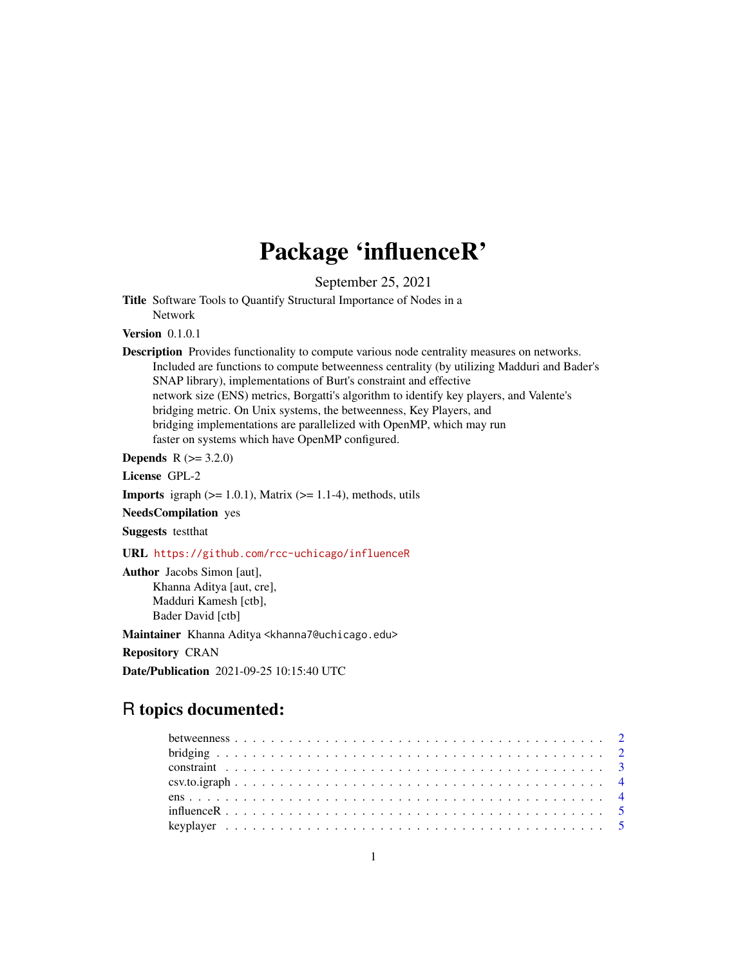## Package 'influenceR'

September 25, 2021

Title Software Tools to Quantify Structural Importance of Nodes in a Network

**Version** 0.1.0.1

Description Provides functionality to compute various node centrality measures on networks. Included are functions to compute betweenness centrality (by utilizing Madduri and Bader's SNAP library), implementations of Burt's constraint and effective network size (ENS) metrics, Borgatti's algorithm to identify key players, and Valente's bridging metric. On Unix systems, the betweenness, Key Players, and bridging implementations are parallelized with OpenMP, which may run faster on systems which have OpenMP configured.

**Depends** R  $(>= 3.2.0)$ 

License GPL-2

**Imports** igraph  $(>= 1.0.1)$ , Matrix  $(>= 1.1-4)$ , methods, utils

NeedsCompilation yes

Suggests testthat

URL <https://github.com/rcc-uchicago/influenceR>

Author Jacobs Simon [aut], Khanna Aditya [aut, cre], Madduri Kamesh [ctb], Bader David [ctb]

Maintainer Khanna Aditya <khanna7@uchicago.edu>

Repository CRAN

Date/Publication 2021-09-25 10:15:40 UTC

### R topics documented: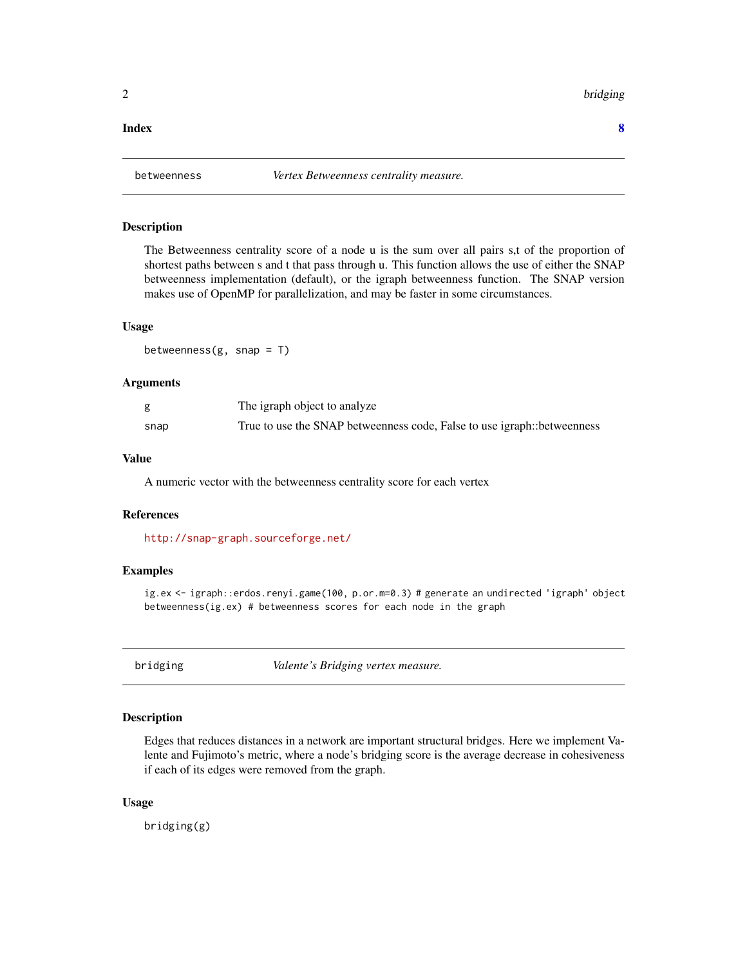<span id="page-1-0"></span>2 bridging the control of the control of the control of the control of the control of the control of the control of the control of the control of the control of the control of the control of the control of the control of t

#### **Index** [8](#page-7-0) **8**

#### Description

The Betweenness centrality score of a node u is the sum over all pairs s,t of the proportion of shortest paths between s and t that pass through u. This function allows the use of either the SNAP betweenness implementation (default), or the igraph betweenness function. The SNAP version makes use of OpenMP for parallelization, and may be faster in some circumstances.

#### Usage

betweenness $(g, \text{snap} = T)$ 

#### Arguments

|      | The igraph object to analyze                                            |
|------|-------------------------------------------------------------------------|
| snap | True to use the SNAP betweenness code, False to use igraph::betweenness |

#### Value

A numeric vector with the betweenness centrality score for each vertex

#### References

<http://snap-graph.sourceforge.net/>

#### Examples

ig.ex <- igraph::erdos.renyi.game(100, p.or.m=0.3) # generate an undirected 'igraph' object betweenness(ig.ex) # betweenness scores for each node in the graph

bridging *Valente's Bridging vertex measure.*

#### Description

Edges that reduces distances in a network are important structural bridges. Here we implement Valente and Fujimoto's metric, where a node's bridging score is the average decrease in cohesiveness if each of its edges were removed from the graph.

#### Usage

bridging(g)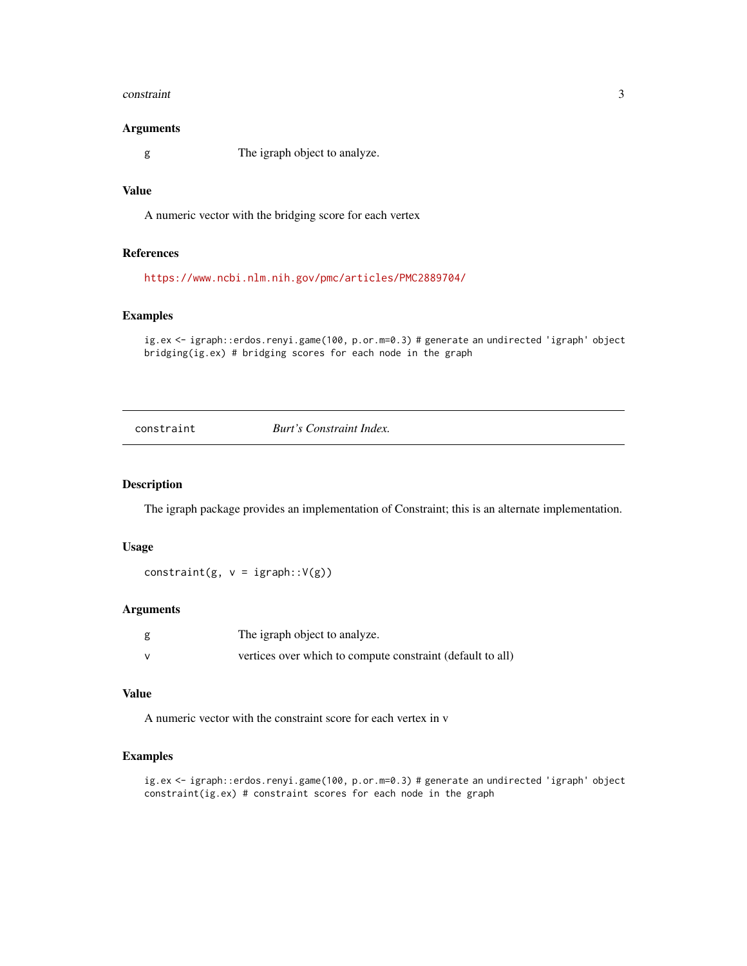#### <span id="page-2-0"></span>constraint 3

#### Arguments

g The igraph object to analyze.

#### Value

A numeric vector with the bridging score for each vertex

#### References

<https://www.ncbi.nlm.nih.gov/pmc/articles/PMC2889704/>

#### Examples

ig.ex <- igraph::erdos.renyi.game(100, p.or.m=0.3) # generate an undirected 'igraph' object bridging(ig.ex) # bridging scores for each node in the graph

constraint *Burt's Constraint Index.*

#### Description

The igraph package provides an implementation of Constraint; this is an alternate implementation.

#### Usage

constraint(g,  $v = igraph::V(g)$ )

#### Arguments

|   | The igraph object to analyze.                              |
|---|------------------------------------------------------------|
| v | vertices over which to compute constraint (default to all) |

#### Value

A numeric vector with the constraint score for each vertex in v

#### Examples

```
ig.ex <- igraph::erdos.renyi.game(100, p.or.m=0.3) # generate an undirected 'igraph' object
constraint(ig.ex) # constraint scores for each node in the graph
```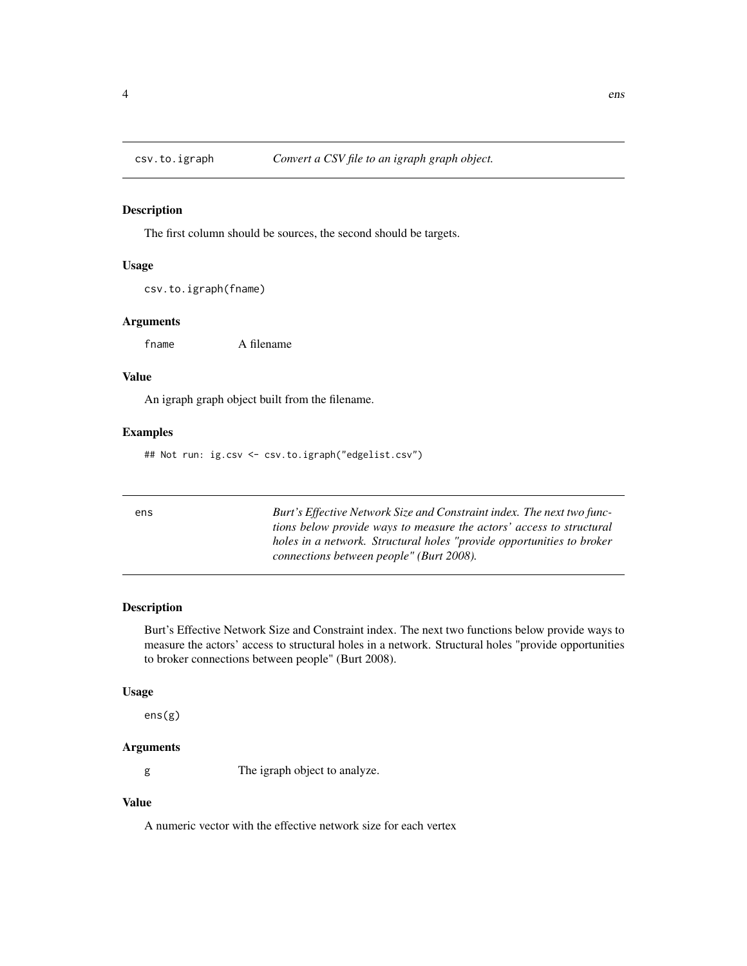<span id="page-3-0"></span>

#### Description

The first column should be sources, the second should be targets.

#### Usage

csv.to.igraph(fname)

#### Arguments

fname A filename

#### Value

An igraph graph object built from the filename.

#### Examples

## Not run: ig.csv <- csv.to.igraph("edgelist.csv")

| ens | Burt's Effective Network Size and Constraint index. The next two func- |
|-----|------------------------------------------------------------------------|
|     | tions below provide ways to measure the actors' access to structural   |
|     | holes in a network. Structural holes "provide opportunities to broker" |
|     | connections between people" (Burt 2008).                               |
|     |                                                                        |

#### Description

Burt's Effective Network Size and Constraint index. The next two functions below provide ways to measure the actors' access to structural holes in a network. Structural holes "provide opportunities to broker connections between people" (Burt 2008).

#### Usage

ens(g)

#### Arguments

g The igraph object to analyze.

#### Value

A numeric vector with the effective network size for each vertex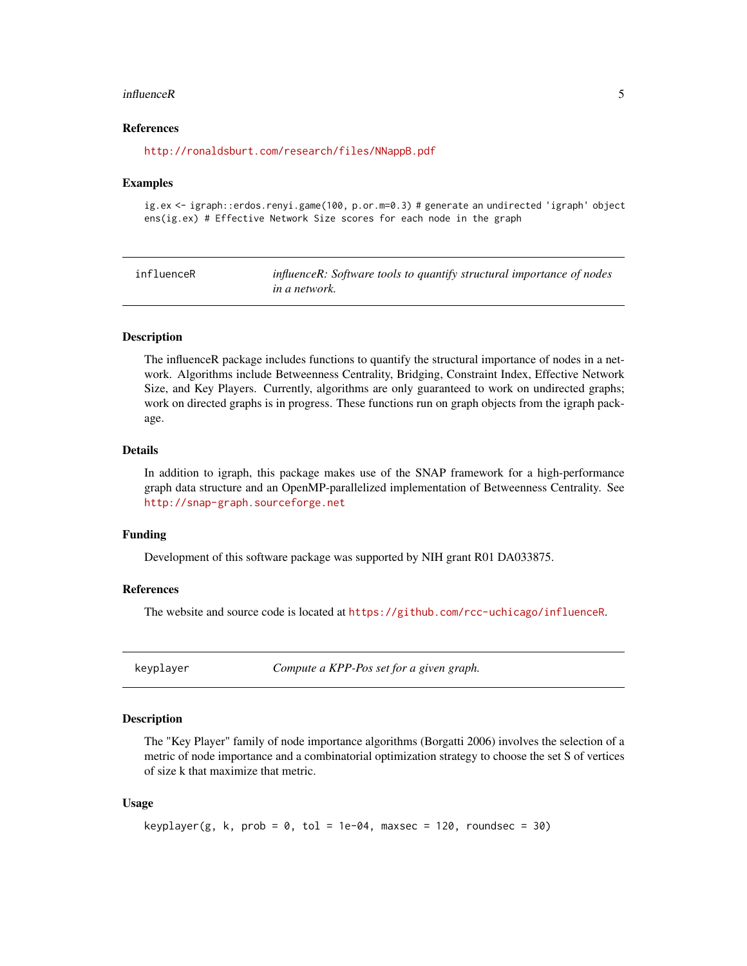#### <span id="page-4-0"></span>influenceR 5

#### References

<http://ronaldsburt.com/research/files/NNappB.pdf>

#### Examples

ig.ex <- igraph::erdos.renyi.game(100, p.or.m=0.3) # generate an undirected 'igraph' object ens(ig.ex) # Effective Network Size scores for each node in the graph

| influenceR | influenceR: Software tools to quantify structural importance of nodes |
|------------|-----------------------------------------------------------------------|
|            | <i>in a network.</i>                                                  |

#### Description

The influenceR package includes functions to quantify the structural importance of nodes in a network. Algorithms include Betweenness Centrality, Bridging, Constraint Index, Effective Network Size, and Key Players. Currently, algorithms are only guaranteed to work on undirected graphs; work on directed graphs is in progress. These functions run on graph objects from the igraph package.

#### Details

In addition to igraph, this package makes use of the SNAP framework for a high-performance graph data structure and an OpenMP-parallelized implementation of Betweenness Centrality. See <http://snap-graph.sourceforge.net>

#### Funding

Development of this software package was supported by NIH grant R01 DA033875.

#### References

The website and source code is located at <https://github.com/rcc-uchicago/influenceR>.

keyplayer *Compute a KPP-Pos set for a given graph.*

#### Description

The "Key Player" family of node importance algorithms (Borgatti 2006) involves the selection of a metric of node importance and a combinatorial optimization strategy to choose the set S of vertices of size k that maximize that metric.

#### Usage

```
keyplayer(g, k, prob = 0, tol = 1e-04, maxsec = 120, roundsec = 30)
```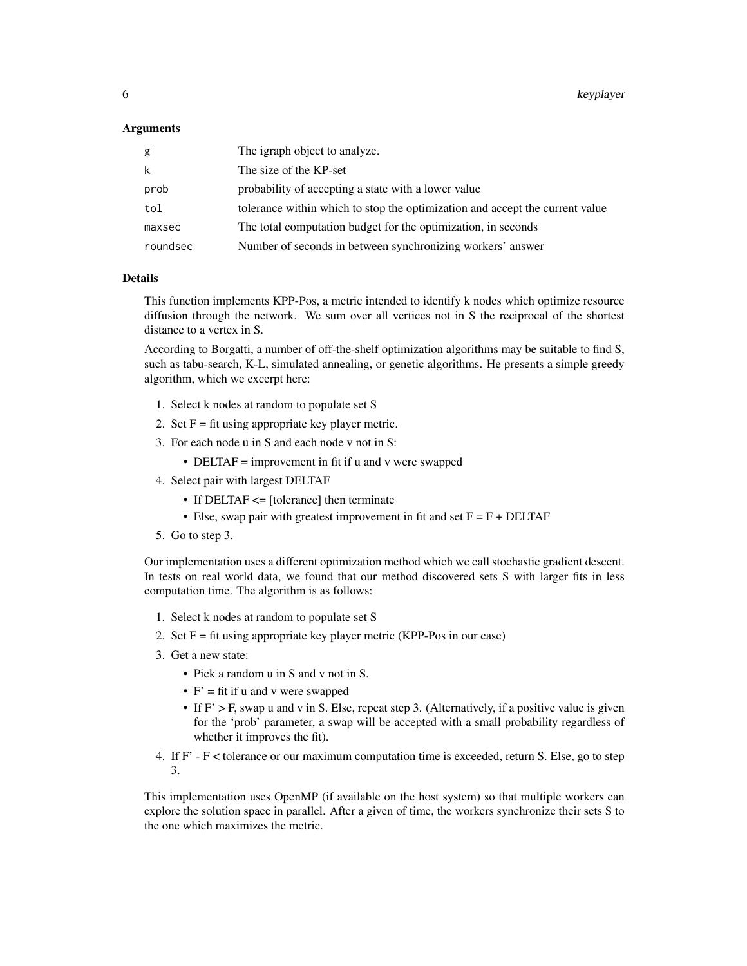#### Arguments

| g        | The igraph object to analyze.                                                |
|----------|------------------------------------------------------------------------------|
| k        | The size of the KP-set                                                       |
| prob     | probability of accepting a state with a lower value                          |
| tol      | tolerance within which to stop the optimization and accept the current value |
| maxsec   | The total computation budget for the optimization, in seconds                |
| roundsec | Number of seconds in between synchronizing workers' answer                   |

#### Details

This function implements KPP-Pos, a metric intended to identify k nodes which optimize resource diffusion through the network. We sum over all vertices not in S the reciprocal of the shortest distance to a vertex in S.

According to Borgatti, a number of off-the-shelf optimization algorithms may be suitable to find S, such as tabu-search, K-L, simulated annealing, or genetic algorithms. He presents a simple greedy algorithm, which we excerpt here:

- 1. Select k nodes at random to populate set S
- 2. Set  $F = fit$  using appropriate key player metric.
- 3. For each node u in S and each node v not in S:
	- DELTAF = improvement in fit if u and v were swapped
- 4. Select pair with largest DELTAF
	- If DELTAF <= [tolerance] then terminate
	- Else, swap pair with greatest improvement in fit and set  $F = F + DELTAF$
- 5. Go to step 3.

Our implementation uses a different optimization method which we call stochastic gradient descent. In tests on real world data, we found that our method discovered sets S with larger fits in less computation time. The algorithm is as follows:

- 1. Select k nodes at random to populate set S
- 2. Set  $F = fit$  using appropriate key player metric (KPP-Pos in our case)
- 3. Get a new state:
	- Pick a random u in S and v not in S.
	- $F' = fit$  if u and v were swapped
	- If  $F' > F$ , swap u and v in S. Else, repeat step 3. (Alternatively, if a positive value is given for the 'prob' parameter, a swap will be accepted with a small probability regardless of whether it improves the fit).
- 4. If F' F < tolerance or our maximum computation time is exceeded, return S. Else, go to step 3.

This implementation uses OpenMP (if available on the host system) so that multiple workers can explore the solution space in parallel. After a given of time, the workers synchronize their sets S to the one which maximizes the metric.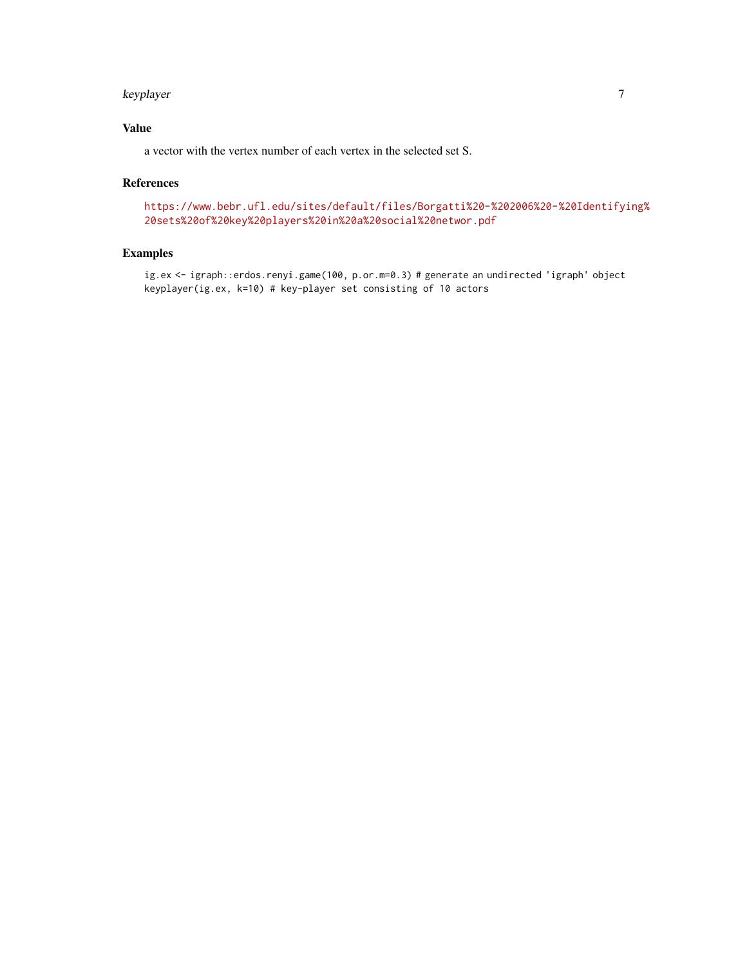#### keyplayer 7 and 2012 and 2013 and 2013 and 2013 and 2013 and 2013 and 2013 and 2013 and 2013 and 201

#### Value

a vector with the vertex number of each vertex in the selected set S.

#### References

[https://www.bebr.ufl.edu/sites/default/files/Borgatti%20-%202006%20-%20Identifyi](https://www.bebr.ufl.edu/sites/default/files/Borgatti%20-%202006%20-%20Identifying%20sets%20of%20key%20players%20in%20a%20social%20networ.pdf)ng% [20sets%20of%20key%20players%20in%20a%20social%20networ.pdf](https://www.bebr.ufl.edu/sites/default/files/Borgatti%20-%202006%20-%20Identifying%20sets%20of%20key%20players%20in%20a%20social%20networ.pdf)

#### Examples

ig.ex <- igraph::erdos.renyi.game(100, p.or.m=0.3) # generate an undirected 'igraph' object keyplayer(ig.ex, k=10) # key-player set consisting of 10 actors